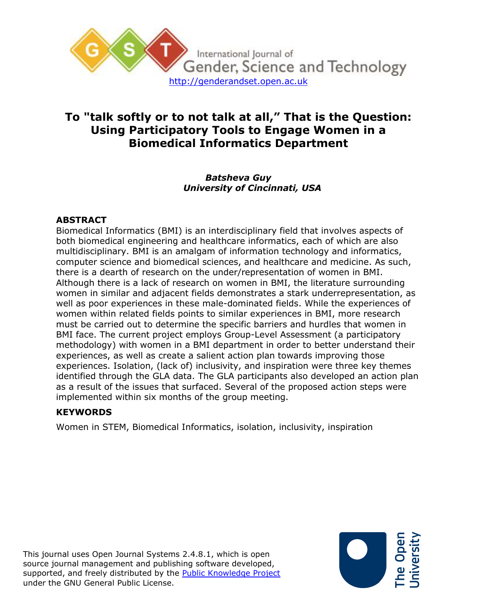

# **To "talk softly or to not talk at all," That is the Question: Using Participatory Tools to Engage Women in a Biomedical Informatics Department**

### *Batsheva Guy University of Cincinnati, USA*

## **ABSTRACT**

Biomedical Informatics (BMI) is an interdisciplinary field that involves aspects of both biomedical engineering and healthcare informatics, each of which are also multidisciplinary. BMI is an amalgam of information technology and informatics, computer science and biomedical sciences, and healthcare and medicine. As such, there is a dearth of research on the under/representation of women in BMI. Although there is a lack of research on women in BMI, the literature surrounding women in similar and adjacent fields demonstrates a stark underrepresentation, as well as poor experiences in these male-dominated fields. While the experiences of women within related fields points to similar experiences in BMI, more research must be carried out to determine the specific barriers and hurdles that women in BMI face. The current project employs Group-Level Assessment (a participatory methodology) with women in a BMI department in order to better understand their experiences, as well as create a salient action plan towards improving those experiences. Isolation, (lack of) inclusivity, and inspiration were three key themes identified through the GLA data. The GLA participants also developed an action plan as a result of the issues that surfaced. Several of the proposed action steps were implemented within six months of the group meeting.

# **KEYWORDS**

Women in STEM, Biomedical Informatics, isolation, inclusivity, inspiration

This journal uses Open Journal Systems 2.4.8.1, which is open source journal management and publishing software developed, supported, and freely distributed by the [Public Knowledge Project](http://pkp.sfu.ca/) under the GNU General Public License.

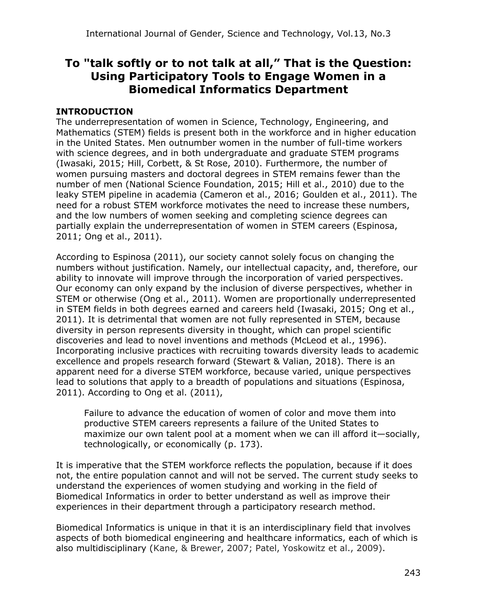# **To "talk softly or to not talk at all," That is the Question: Using Participatory Tools to Engage Women in a Biomedical Informatics Department**

# **INTRODUCTION**

The underrepresentation of women in Science, Technology, Engineering, and Mathematics (STEM) fields is present both in the workforce and in higher education in the United States. Men outnumber women in the number of full-time workers with science degrees, and in both undergraduate and graduate STEM programs (Iwasaki, 2015; Hill, Corbett, & St Rose, 2010). Furthermore, the number of women pursuing masters and doctoral degrees in STEM remains fewer than the number of men (National Science Foundation, 2015; Hill et al., 2010) due to the leaky STEM pipeline in academia (Cameron et al., 2016; Goulden et al., 2011). The need for a robust STEM workforce motivates the need to increase these numbers, and the low numbers of women seeking and completing science degrees can partially explain the underrepresentation of women in STEM careers (Espinosa, 2011; Ong et al., 2011).

According to Espinosa (2011), our society cannot solely focus on changing the numbers without justification. Namely, our intellectual capacity, and, therefore, our ability to innovate will improve through the incorporation of varied perspectives. Our economy can only expand by the inclusion of diverse perspectives, whether in STEM or otherwise (Ong et al., 2011). Women are proportionally underrepresented in STEM fields in both degrees earned and careers held (Iwasaki, 2015; Ong et al., 2011). It is detrimental that women are not fully represented in STEM, because diversity in person represents diversity in thought, which can propel scientific discoveries and lead to novel inventions and methods (McLeod et al., 1996). Incorporating inclusive practices with recruiting towards diversity leads to academic excellence and propels research forward (Stewart & Valian, 2018). There is an apparent need for a diverse STEM workforce, because varied, unique perspectives lead to solutions that apply to a breadth of populations and situations (Espinosa, 2011). According to Ong et al. (2011),

Failure to advance the education of women of color and move them into productive STEM careers represents a failure of the United States to maximize our own talent pool at a moment when we can ill afford it—socially, technologically, or economically (p. 173).

It is imperative that the STEM workforce reflects the population, because if it does not, the entire population cannot and will not be served. The current study seeks to understand the experiences of women studying and working in the field of Biomedical Informatics in order to better understand as well as improve their experiences in their department through a participatory research method.

Biomedical Informatics is unique in that it is an interdisciplinary field that involves aspects of both biomedical engineering and healthcare informatics, each of which is also multidisciplinary (Kane, & Brewer, 2007; Patel, Yoskowitz et al., 2009).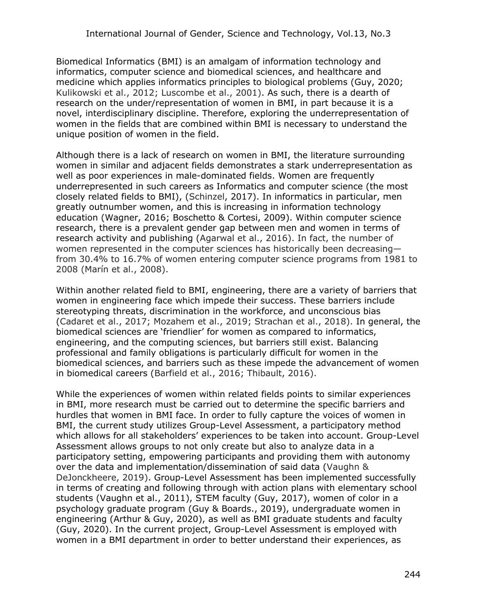Biomedical Informatics (BMI) is an amalgam of information technology and informatics, computer science and biomedical sciences, and healthcare and medicine which applies informatics principles to biological problems (Guy, 2020; Kulikowski et al., 2012; Luscombe et al., 2001). As such, there is a dearth of research on the under/representation of women in BMI, in part because it is a novel, interdisciplinary discipline. Therefore, exploring the underrepresentation of women in the fields that are combined within BMI is necessary to understand the unique position of women in the field.

Although there is a lack of research on women in BMI, the literature surrounding women in similar and adjacent fields demonstrates a stark underrepresentation as well as poor experiences in male-dominated fields. Women are frequently underrepresented in such careers as Informatics and computer science (the most closely related fields to BMI), (Schinzel, 2017). In informatics in particular, men greatly outnumber women, and this is increasing in information technology education (Wagner, 2016; Boschetto & Cortesi, 2009). Within computer science research, there is a prevalent gender gap between men and women in terms of research activity and publishing (Agarwal et al., 2016). In fact, the number of women represented in the computer sciences has historically been decreasing from 30.4% to 16.7% of women entering computer science programs from 1981 to 2008 (Marín et al., 2008).

Within another related field to BMI, engineering, there are a variety of barriers that women in engineering face which impede their success. These barriers include stereotyping threats, discrimination in the workforce, and unconscious bias (Cadaret et al., 2017; Mozahem et al., 2019; Strachan et al., 2018). In general, the biomedical sciences are 'friendlier' for women as compared to informatics, engineering, and the computing sciences, but barriers still exist. Balancing professional and family obligations is particularly difficult for women in the biomedical sciences, and barriers such as these impede the advancement of women in biomedical careers (Barfield et al., 2016; Thibault, 2016).

While the experiences of women within related fields points to similar experiences in BMI, more research must be carried out to determine the specific barriers and hurdles that women in BMI face. In order to fully capture the voices of women in BMI, the current study utilizes Group-Level Assessment, a participatory method which allows for all stakeholders' experiences to be taken into account. Group-Level Assessment allows groups to not only create but also to analyze data in a participatory setting, empowering participants and providing them with autonomy over the data and implementation/dissemination of said data (Vaughn & DeJonckheere, 2019). Group-Level Assessment has been implemented successfully in terms of creating and following through with action plans with elementary school students (Vaughn et al., 2011), STEM faculty (Guy, 2017), women of color in a psychology graduate program (Guy & Boards., 2019), undergraduate women in engineering (Arthur & Guy, 2020), as well as BMI graduate students and faculty (Guy, 2020). In the current project, Group-Level Assessment is employed with women in a BMI department in order to better understand their experiences, as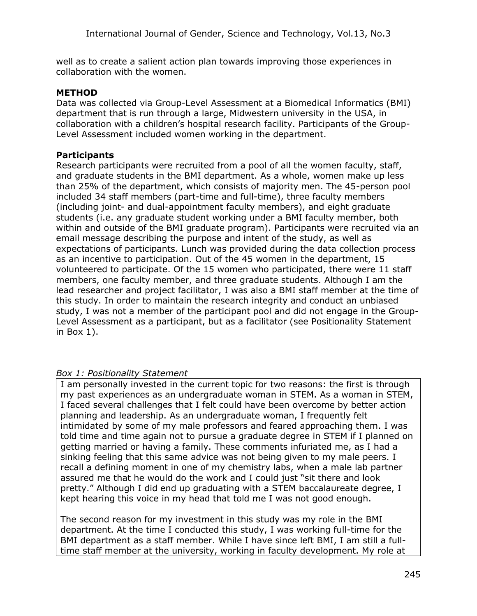well as to create a salient action plan towards improving those experiences in collaboration with the women.

#### **METHOD**

Data was collected via Group-Level Assessment at a Biomedical Informatics (BMI) department that is run through a large, Midwestern university in the USA, in collaboration with a children's hospital research facility. Participants of the Group-Level Assessment included women working in the department.

#### **Participants**

Research participants were recruited from a pool of all the women faculty, staff, and graduate students in the BMI department. As a whole, women make up less than 25% of the department, which consists of majority men. The 45-person pool included 34 staff members (part-time and full-time), three faculty members (including joint- and dual-appointment faculty members), and eight graduate students (i.e. any graduate student working under a BMI faculty member, both within and outside of the BMI graduate program). Participants were recruited via an email message describing the purpose and intent of the study, as well as expectations of participants. Lunch was provided during the data collection process as an incentive to participation. Out of the 45 women in the department, 15 volunteered to participate. Of the 15 women who participated, there were 11 staff members, one faculty member, and three graduate students. Although I am the lead researcher and project facilitator, I was also a BMI staff member at the time of this study. In order to maintain the research integrity and conduct an unbiased study, I was not a member of the participant pool and did not engage in the Group-Level Assessment as a participant, but as a facilitator (see Positionality Statement in Box 1).

### *Box 1: Positionality Statement*

I am personally invested in the current topic for two reasons: the first is through my past experiences as an undergraduate woman in STEM. As a woman in STEM, I faced several challenges that I felt could have been overcome by better action planning and leadership. As an undergraduate woman, I frequently felt intimidated by some of my male professors and feared approaching them. I was told time and time again not to pursue a graduate degree in STEM if I planned on getting married or having a family. These comments infuriated me, as I had a sinking feeling that this same advice was not being given to my male peers. I recall a defining moment in one of my chemistry labs, when a male lab partner assured me that he would do the work and I could just "sit there and look pretty." Although I did end up graduating with a STEM baccalaureate degree, I kept hearing this voice in my head that told me I was not good enough.

The second reason for my investment in this study was my role in the BMI department. At the time I conducted this study, I was working full-time for the BMI department as a staff member. While I have since left BMI, I am still a fulltime staff member at the university, working in faculty development. My role at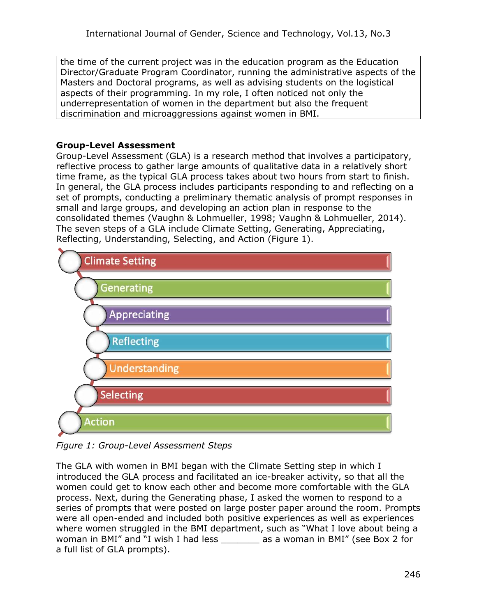the time of the current project was in the education program as the Education Director/Graduate Program Coordinator, running the administrative aspects of the Masters and Doctoral programs, as well as advising students on the logistical aspects of their programming. In my role, I often noticed not only the underrepresentation of women in the department but also the frequent discrimination and microaggressions against women in BMI.

# **Group-Level Assessment**

Group-Level Assessment (GLA) is a research method that involves a participatory, reflective process to gather large amounts of qualitative data in a relatively short time frame, as the typical GLA process takes about two hours from start to finish. In general, the GLA process includes participants responding to and reflecting on a set of prompts, conducting a preliminary thematic analysis of prompt responses in small and large groups, and developing an action plan in response to the consolidated themes (Vaughn & Lohmueller, 1998; Vaughn & Lohmueller, 2014). The seven steps of a GLA include Climate Setting, Generating, Appreciating, Reflecting, Understanding, Selecting, and Action (Figure 1).



*Figure 1: Group-Level Assessment Steps*

The GLA with women in BMI began with the Climate Setting step in which I introduced the GLA process and facilitated an ice-breaker activity, so that all the women could get to know each other and become more comfortable with the GLA process. Next, during the Generating phase, I asked the women to respond to a series of prompts that were posted on large poster paper around the room. Prompts were all open-ended and included both positive experiences as well as experiences where women struggled in the BMI department, such as "What I love about being a woman in BMI" and "I wish I had less \_\_\_\_\_\_\_ as a woman in BMI" (see Box 2 for a full list of GLA prompts).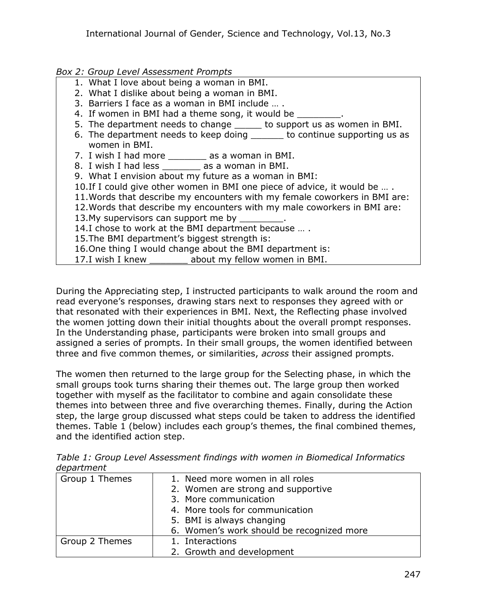## *Box 2: Group Level Assessment Prompts*

- 1. What I love about being a woman in BMI.
- 2. What I dislike about being a woman in BMI.
- 3. Barriers I face as a woman in BMI include … .
- 4. If women in BMI had a theme song, it would be
- 5. The department needs to change \_\_\_\_\_ to support us as women in BMI.
- 6. The department needs to keep doing to continue supporting us as women in BMI.
- 7. I wish I had more \_\_\_\_\_\_\_ as a woman in BMI.
- 8. I wish I had less \_\_\_\_\_\_\_ as a woman in BMI.
- 9. What I envision about my future as a woman in BMI:
- 10.If I could give other women in BMI one piece of advice, it would be … .
- 11.Words that describe my encounters with my female coworkers in BMI are:
- 12.Words that describe my encounters with my male coworkers in BMI are:
- 13.My supervisors can support me by \_
- 14.I chose to work at the BMI department because … .
- 15.The BMI department's biggest strength is:
- 16.One thing I would change about the BMI department is:
- 17.I wish I knew \_\_\_\_\_\_\_ about my fellow women in BMI.

During the Appreciating step, I instructed participants to walk around the room and read everyone's responses, drawing stars next to responses they agreed with or that resonated with their experiences in BMI. Next, the Reflecting phase involved the women jotting down their initial thoughts about the overall prompt responses. In the Understanding phase, participants were broken into small groups and assigned a series of prompts. In their small groups, the women identified between three and five common themes, or similarities, *across* their assigned prompts.

The women then returned to the large group for the Selecting phase, in which the small groups took turns sharing their themes out. The large group then worked together with myself as the facilitator to combine and again consolidate these themes into between three and five overarching themes. Finally, during the Action step, the large group discussed what steps could be taken to address the identified themes. Table 1 (below) includes each group's themes, the final combined themes, and the identified action step.

*Table 1: Group Level Assessment findings with women in Biomedical Informatics department*

| Group 1 Themes | 1. Need more women in all roles           |  |
|----------------|-------------------------------------------|--|
|                | 2. Women are strong and supportive        |  |
|                | 3. More communication                     |  |
|                | 4. More tools for communication           |  |
|                | 5. BMI is always changing                 |  |
|                | 6. Women's work should be recognized more |  |
| Group 2 Themes | 1. Interactions                           |  |
|                | 2. Growth and development                 |  |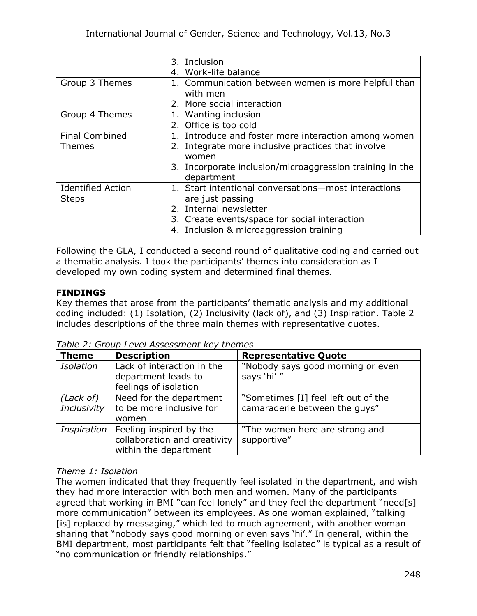|                          | 3. Inclusion                                             |
|--------------------------|----------------------------------------------------------|
|                          | 4. Work-life balance                                     |
| Group 3 Themes           | 1. Communication between women is more helpful than      |
|                          | with men                                                 |
|                          | 2. More social interaction                               |
| Group 4 Themes           | 1. Wanting inclusion                                     |
|                          | 2. Office is too cold                                    |
| <b>Final Combined</b>    | 1. Introduce and foster more interaction among women     |
| <b>Themes</b>            | 2. Integrate more inclusive practices that involve       |
|                          | women                                                    |
|                          | 3. Incorporate inclusion/microaggression training in the |
|                          | department                                               |
| <b>Identified Action</b> | 1. Start intentional conversations-most interactions     |
| <b>Steps</b>             | are just passing                                         |
|                          | 2. Internal newsletter                                   |
|                          | 3. Create events/space for social interaction            |
|                          | 4. Inclusion & microaggression training                  |

Following the GLA, I conducted a second round of qualitative coding and carried out a thematic analysis. I took the participants' themes into consideration as I developed my own coding system and determined final themes.

# **FINDINGS**

Key themes that arose from the participants' thematic analysis and my additional coding included: (1) Isolation, (2) Inclusivity (lack of), and (3) Inspiration. Table 2 includes descriptions of the three main themes with representative quotes.

*Table 2: Group Level Assessment key themes*

| <b>Theme</b>     | <b>Description</b>                                | <b>Representative Quote</b>                     |
|------------------|---------------------------------------------------|-------------------------------------------------|
| <b>Isolation</b> | Lack of interaction in the<br>department leads to | "Nobody says good morning or even<br>says 'hi'" |
|                  | feelings of isolation                             |                                                 |
| (Lack of)        | Need for the department                           | "Sometimes [I] feel left out of the             |
| Inclusivity      | to be more inclusive for                          | camaraderie between the guys"                   |
|                  | women                                             |                                                 |
| Inspiration      | Feeling inspired by the                           | "The women here are strong and                  |
|                  | collaboration and creativity                      | supportive"                                     |
|                  | within the department                             |                                                 |

# *Theme 1: Isolation*

The women indicated that they frequently feel isolated in the department, and wish they had more interaction with both men and women. Many of the participants agreed that working in BMI "can feel lonely" and they feel the department "need[s] more communication" between its employees. As one woman explained, "talking [is] replaced by messaging," which led to much agreement, with another woman sharing that "nobody says good morning or even says 'hi'." In general, within the BMI department, most participants felt that "feeling isolated" is typical as a result of "no communication or friendly relationships."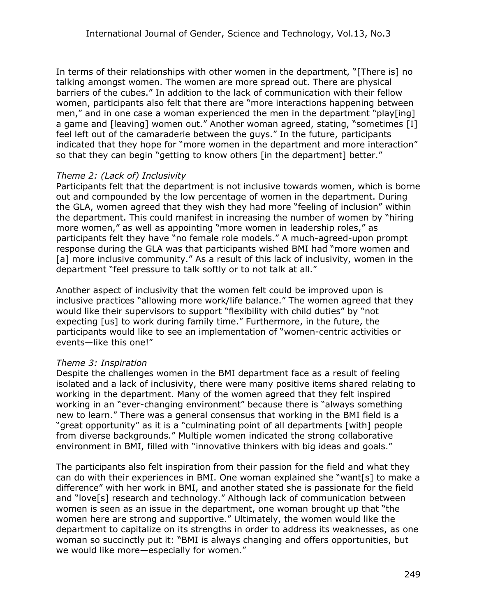In terms of their relationships with other women in the department, "[There is] no talking amongst women. The women are more spread out. There are physical barriers of the cubes." In addition to the lack of communication with their fellow women, participants also felt that there are "more interactions happening between men," and in one case a woman experienced the men in the department "play[ing] a game and [leaving] women out." Another woman agreed, stating, "sometimes [I] feel left out of the camaraderie between the guys." In the future, participants indicated that they hope for "more women in the department and more interaction" so that they can begin "getting to know others [in the department] better."

### *Theme 2: (Lack of) Inclusivity*

Participants felt that the department is not inclusive towards women, which is borne out and compounded by the low percentage of women in the department. During the GLA, women agreed that they wish they had more "feeling of inclusion" within the department. This could manifest in increasing the number of women by "hiring more women," as well as appointing "more women in leadership roles," as participants felt they have "no female role models." A much-agreed-upon prompt response during the GLA was that participants wished BMI had "more women and [a] more inclusive community." As a result of this lack of inclusivity, women in the department "feel pressure to talk softly or to not talk at all."

Another aspect of inclusivity that the women felt could be improved upon is inclusive practices "allowing more work/life balance." The women agreed that they would like their supervisors to support "flexibility with child duties" by "not expecting [us] to work during family time." Furthermore, in the future, the participants would like to see an implementation of "women-centric activities or events—like this one!"

#### *Theme 3: Inspiration*

Despite the challenges women in the BMI department face as a result of feeling isolated and a lack of inclusivity, there were many positive items shared relating to working in the department. Many of the women agreed that they felt inspired working in an "ever-changing environment" because there is "always something new to learn." There was a general consensus that working in the BMI field is a "great opportunity" as it is a "culminating point of all departments [with] people from diverse backgrounds." Multiple women indicated the strong collaborative environment in BMI, filled with "innovative thinkers with big ideas and goals."

The participants also felt inspiration from their passion for the field and what they can do with their experiences in BMI. One woman explained she "want[s] to make a difference" with her work in BMI, and another stated she is passionate for the field and "love[s] research and technology." Although lack of communication between women is seen as an issue in the department, one woman brought up that "the women here are strong and supportive." Ultimately, the women would like the department to capitalize on its strengths in order to address its weaknesses, as one woman so succinctly put it: "BMI is always changing and offers opportunities, but we would like more—especially for women."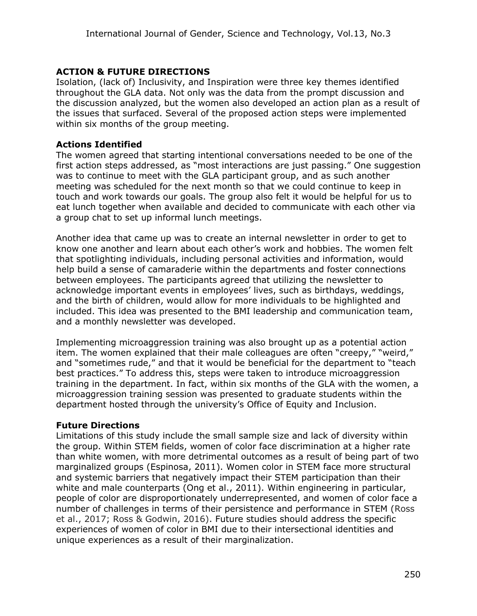# **ACTION & FUTURE DIRECTIONS**

Isolation, (lack of) Inclusivity, and Inspiration were three key themes identified throughout the GLA data. Not only was the data from the prompt discussion and the discussion analyzed, but the women also developed an action plan as a result of the issues that surfaced. Several of the proposed action steps were implemented within six months of the group meeting.

#### **Actions Identified**

The women agreed that starting intentional conversations needed to be one of the first action steps addressed, as "most interactions are just passing." One suggestion was to continue to meet with the GLA participant group, and as such another meeting was scheduled for the next month so that we could continue to keep in touch and work towards our goals. The group also felt it would be helpful for us to eat lunch together when available and decided to communicate with each other via a group chat to set up informal lunch meetings.

Another idea that came up was to create an internal newsletter in order to get to know one another and learn about each other's work and hobbies. The women felt that spotlighting individuals, including personal activities and information, would help build a sense of camaraderie within the departments and foster connections between employees. The participants agreed that utilizing the newsletter to acknowledge important events in employees' lives, such as birthdays, weddings, and the birth of children, would allow for more individuals to be highlighted and included. This idea was presented to the BMI leadership and communication team, and a monthly newsletter was developed.

Implementing microaggression training was also brought up as a potential action item. The women explained that their male colleagues are often "creepy," "weird," and "sometimes rude," and that it would be beneficial for the department to "teach best practices." To address this, steps were taken to introduce microaggression training in the department. In fact, within six months of the GLA with the women, a microaggression training session was presented to graduate students within the department hosted through the university's Office of Equity and Inclusion.

#### **Future Directions**

Limitations of this study include the small sample size and lack of diversity within the group. Within STEM fields, women of color face discrimination at a higher rate than white women, with more detrimental outcomes as a result of being part of two marginalized groups (Espinosa, 2011). Women color in STEM face more structural and systemic barriers that negatively impact their STEM participation than their white and male counterparts (Ong et al., 2011). Within engineering in particular, people of color are disproportionately underrepresented, and women of color face a number of challenges in terms of their persistence and performance in STEM (Ross et al., 2017; Ross & Godwin, 2016). Future studies should address the specific experiences of women of color in BMI due to their intersectional identities and unique experiences as a result of their marginalization.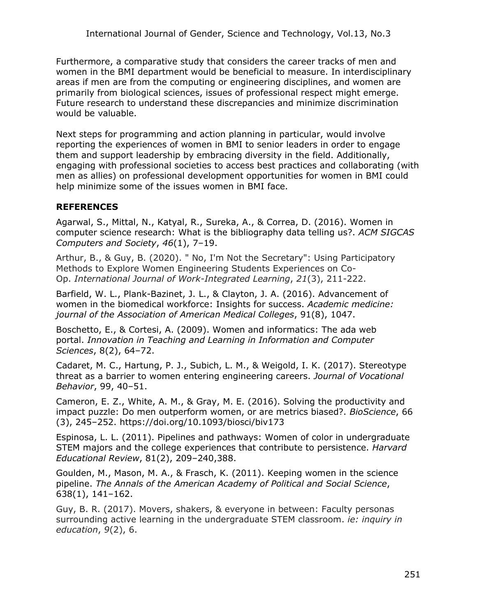Furthermore, a comparative study that considers the career tracks of men and women in the BMI department would be beneficial to measure. In interdisciplinary areas if men are from the computing or engineering disciplines, and women are primarily from biological sciences, issues of professional respect might emerge. Future research to understand these discrepancies and minimize discrimination would be valuable.

Next steps for programming and action planning in particular, would involve reporting the experiences of women in BMI to senior leaders in order to engage them and support leadership by embracing diversity in the field. Additionally, engaging with professional societies to access best practices and collaborating (with men as allies) on professional development opportunities for women in BMI could help minimize some of the issues women in BMI face.

## **REFERENCES**

Agarwal, S., Mittal, N., Katyal, R., Sureka, A., & Correa, D. (2016). Women in computer science research: What is the bibliography data telling us?. *ACM SIGCAS Computers and Society*, *46*(1), 7–19.

Arthur, B., & Guy, B. (2020). " No, I'm Not the Secretary": Using Participatory Methods to Explore Women Engineering Students Experiences on Co-Op. *International Journal of Work-Integrated Learning*, *21*(3), 211-222.

Barfield, W. L., Plank-Bazinet, J. L., & Clayton, J. A. (2016). Advancement of women in the biomedical workforce: Insights for success. *Academic medicine: journal of the Association of American Medical Colleges*, 91(8), 1047.

Boschetto, E., & Cortesi, A. (2009). Women and informatics: The ada web portal. *Innovation in Teaching and Learning in Information and Computer Sciences*, 8(2), 64–72.

Cadaret, M. C., Hartung, P. J., Subich, L. M., & Weigold, I. K. (2017). Stereotype threat as a barrier to women entering engineering careers. *Journal of Vocational Behavior*, 99, 40–51.

Cameron, E. Z., White, A. M., & Gray, M. E. (2016). Solving the productivity and impact puzzle: Do men outperform women, or are metrics biased?. *BioScience*, 66 (3), 245–252. https://doi.org/10.1093/biosci/biv173

Espinosa, L. L. (2011). Pipelines and pathways: Women of color in undergraduate STEM majors and the college experiences that contribute to persistence. *Harvard Educational Review*, 81(2), 209–240,388.

Goulden, M., Mason, M. A., & Frasch, K. (2011). Keeping women in the science pipeline. *The Annals of the American Academy of Political and Social Science*, 638(1), 141–162.

Guy, B. R. (2017). Movers, shakers, & everyone in between: Faculty personas surrounding active learning in the undergraduate STEM classroom. *ie: inquiry in education*, *9*(2), 6.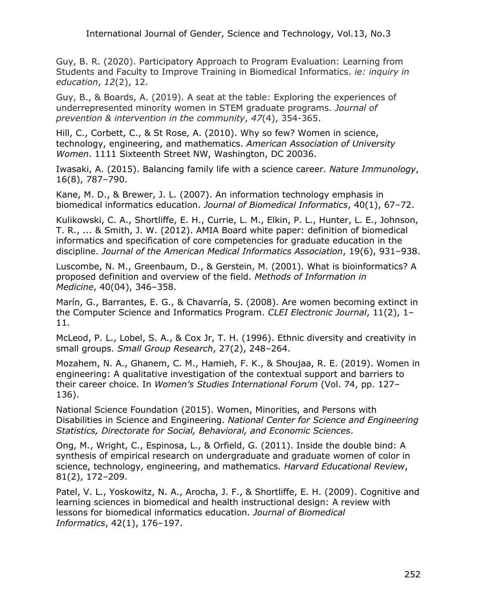Guy, B. R. (2020). Participatory Approach to Program Evaluation: Learning from Students and Faculty to Improve Training in Biomedical Informatics. *ie: inquiry in education*, *12*(2), 12.

Guy, B., & Boards, A. (2019). A seat at the table: Exploring the experiences of underrepresented minority women in STEM graduate programs. *Journal of prevention & intervention in the community*, *47*(4), 354-365.

Hill, C., Corbett, C., & St Rose, A. (2010). Why so few? Women in science, technology, engineering, and mathematics. *American Association of University Women*. 1111 Sixteenth Street NW, Washington, DC 20036.

Iwasaki, A. (2015). Balancing family life with a science career. *Nature Immunology*, 16(8), 787–790.

Kane, M. D., & Brewer, J. L. (2007). An information technology emphasis in biomedical informatics education. *Journal of Biomedical Informatics*, 40(1), 67–72.

Kulikowski, C. A., Shortliffe, E. H., Currie, L. M., Elkin, P. L., Hunter, L. E., Johnson, T. R., ... & Smith, J. W. (2012). AMIA Board white paper: definition of biomedical informatics and specification of core competencies for graduate education in the discipline. *Journal of the American Medical Informatics Association*, 19(6), 931–938.

Luscombe, N. M., Greenbaum, D., & Gerstein, M. (2001). What is bioinformatics? A proposed definition and overview of the field. *Methods of Information in Medicine*, 40(04), 346–358.

Marín, G., Barrantes, E. G., & Chavarría, S. (2008). Are women becoming extinct in the Computer Science and Informatics Program. *CLEI Electronic Journal*, 11(2), 1– 11.

McLeod, P. L., Lobel, S. A., & Cox Jr, T. H. (1996). Ethnic diversity and creativity in small groups. *Small Group Research*, 27(2), 248–264.

Mozahem, N. A., Ghanem, C. M., Hamieh, F. K., & Shoujaa, R. E. (2019). Women in engineering: A qualitative investigation of the contextual support and barriers to their career choice. In *Women's Studies International Forum* (Vol. 74, pp. 127– 136).

National Science Foundation (2015). Women, Minorities, and Persons with Disabilities in Science and Engineering. *National Center for Science and Engineering Statistics, Directorate for Social, Behavioral, and Economic Sciences*.

Ong, M., Wright, C., Espinosa, L., & Orfield, G. (2011). Inside the double bind: A synthesis of empirical research on undergraduate and graduate women of color in science, technology, engineering, and mathematics. *Harvard Educational Review*, 81(2), 172–209.

Patel, V. L., Yoskowitz, N. A., Arocha, J. F., & Shortliffe, E. H. (2009). Cognitive and learning sciences in biomedical and health instructional design: A review with lessons for biomedical informatics education. *Journal of Biomedical Informatics*, 42(1), 176–197.